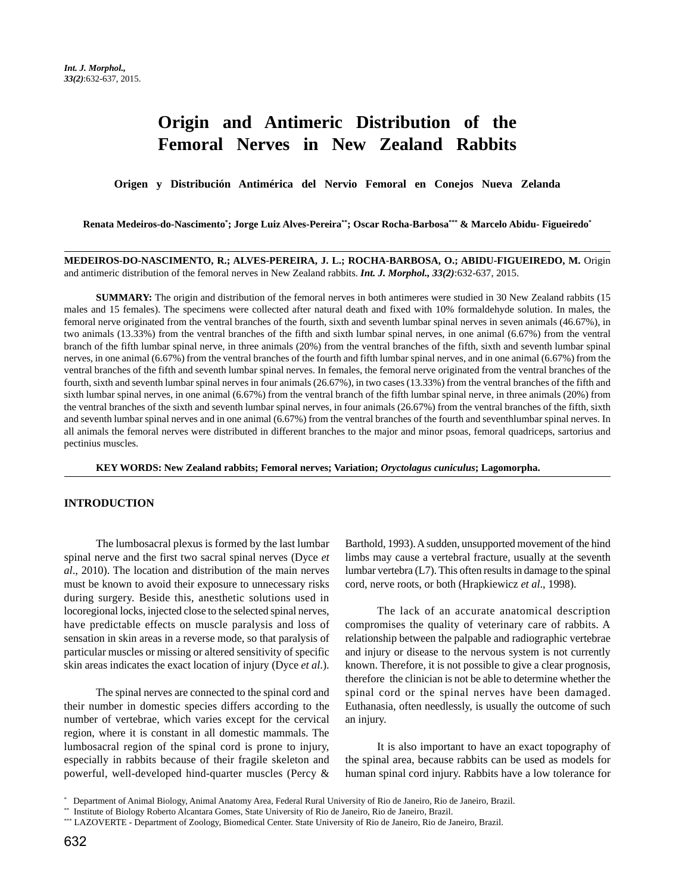# **Origin and Antimeric Distribution of the Femoral Nerves in New Zealand Rabbits**

**Origen y Distribución Antimérica del Nervio Femoral en Conejos Nueva Zelanda**

**Renata Medeiros-do-Nascimento\* ; Jorge Luiz Alves-Pereira\*\*; Oscar Rocha-Barbosa\*\*\* & Marcelo Abidu- Figueiredo\***

**MEDEIROS-DO-NASCIMENTO, R.; ALVES-PEREIRA, J. L.; ROCHA-BARBOSA, O.; ABIDU-FIGUEIREDO, M.** Origin and antimeric distribution of the femoral nerves in New Zealand rabbits. *Int. J. Morphol., 33(2)*:632-637, 2015.

**SUMMARY:** The origin and distribution of the femoral nerves in both antimeres were studied in 30 New Zealand rabbits (15 males and 15 females). The specimens were collected after natural death and fixed with 10% formaldehyde solution. In males, the femoral nerve originated from the ventral branches of the fourth, sixth and seventh lumbar spinal nerves in seven animals (46.67%), in two animals (13.33%) from the ventral branches of the fifth and sixth lumbar spinal nerves, in one animal (6.67%) from the ventral branch of the fifth lumbar spinal nerve, in three animals (20%) from the ventral branches of the fifth, sixth and seventh lumbar spinal nerves, in one animal (6.67%) from the ventral branches of the fourth and fifth lumbar spinal nerves, and in one animal (6.67%) from the ventral branches of the fifth and seventh lumbar spinal nerves. In females, the femoral nerve originated from the ventral branches of the fourth, sixth and seventh lumbar spinal nerves in four animals (26.67%), in two cases (13.33%) from the ventral branches of the fifth and sixth lumbar spinal nerves, in one animal (6.67%) from the ventral branch of the fifth lumbar spinal nerve, in three animals (20%) from the ventral branches of the sixth and seventh lumbar spinal nerves, in four animals (26.67%) from the ventral branches of the fifth, sixth and seventh lumbar spinal nerves and in one animal (6.67%) from the ventral branches of the fourth and seventhlumbar spinal nerves. In all animals the femoral nerves were distributed in different branches to the major and minor psoas, femoral quadriceps, sartorius and pectinius muscles.

**KEY WORDS: New Zealand rabbits; Femoral nerves; Variation;** *Oryctolagus cuniculus***; Lagomorpha.**

#### **INTRODUCTION**

The lumbosacral plexus is formed by the last lumbar spinal nerve and the first two sacral spinal nerves (Dyce *et al*., 2010). The location and distribution of the main nerves must be known to avoid their exposure to unnecessary risks during surgery. Beside this, anesthetic solutions used in locoregional locks, injected close to the selected spinal nerves, have predictable effects on muscle paralysis and loss of sensation in skin areas in a reverse mode, so that paralysis of particular muscles or missing or altered sensitivity of specific skin areas indicates the exact location of injury (Dyce *et al*.).

The spinal nerves are connected to the spinal cord and their number in domestic species differs according to the number of vertebrae, which varies except for the cervical region, where it is constant in all domestic mammals. The lumbosacral region of the spinal cord is prone to injury, especially in rabbits because of their fragile skeleton and powerful, well-developed hind-quarter muscles (Percy &

Barthold, 1993). A sudden, unsupported movement of the hind limbs may cause a vertebral fracture, usually at the seventh lumbar vertebra (L7). This often results in damage to the spinal cord, nerve roots, or both (Hrapkiewicz *et al*., 1998).

The lack of an accurate anatomical description compromises the quality of veterinary care of rabbits. A relationship between the palpable and radiographic vertebrae and injury or disease to the nervous system is not currently known. Therefore, it is not possible to give a clear prognosis, therefore the clinician is not be able to determine whether the spinal cord or the spinal nerves have been damaged. Euthanasia, often needlessly, is usually the outcome of such an injury.

It is also important to have an exact topography of the spinal area, because rabbits can be used as models for human spinal cord injury. Rabbits have a low tolerance for

<sup>\*</sup> Department of Animal Biology, Animal Anatomy Area, Federal Rural University of Rio de Janeiro, Rio de Janeiro, Brazil.

<sup>\*\*</sup> Institute of Biology Roberto Alcantara Gomes, State University of Rio de Janeiro, Rio de Janeiro, Brazil.

<sup>\*\*\*</sup> LAZOVERTE - Department of Zoology, Biomedical Center. State University of Rio de Janeiro, Rio de Janeiro, Brazil.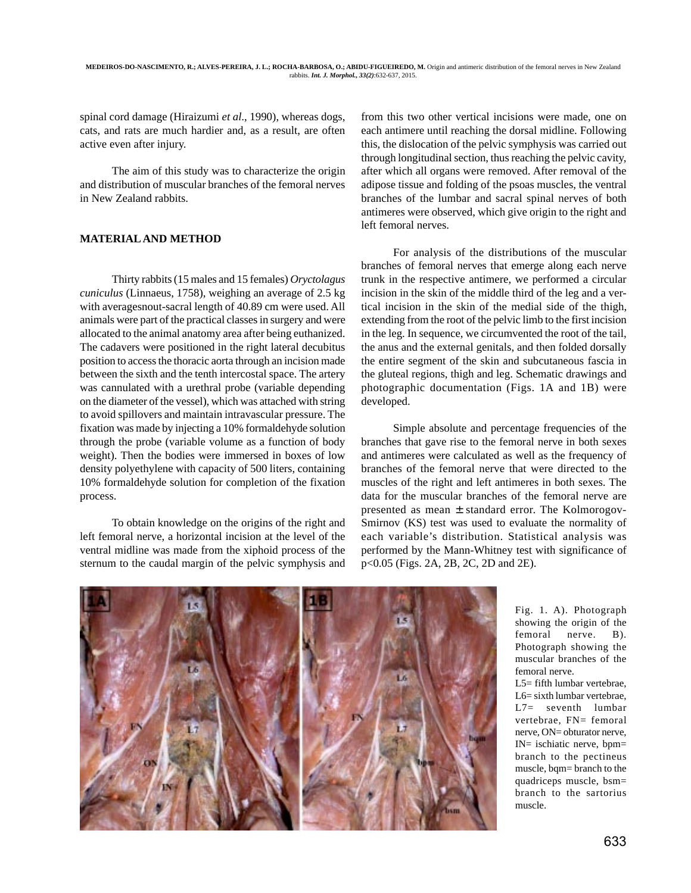spinal cord damage (Hiraizumi *et al*., 1990), whereas dogs, cats, and rats are much hardier and, as a result, are often active even after injury.

The aim of this study was to characterize the origin and distribution of muscular branches of the femoral nerves in New Zealand rabbits.

# **MATERIAL AND METHOD**

Thirty rabbits (15 males and 15 females) *Oryctolagus cuniculus* (Linnaeus, 1758), weighing an average of 2.5 kg with averagesnout-sacral length of 40.89 cm were used. All animals were part of the practical classes in surgery and were allocated to the animal anatomy area after being euthanized. The cadavers were positioned in the right lateral decubitus position to access the thoracic aorta through an incision made between the sixth and the tenth intercostal space. The artery was cannulated with a urethral probe (variable depending on the diameter of the vessel), which was attached with string to avoid spillovers and maintain intravascular pressure. The fixation was made by injecting a 10% formaldehyde solution through the probe (variable volume as a function of body weight). Then the bodies were immersed in boxes of low density polyethylene with capacity of 500 liters, containing 10% formaldehyde solution for completion of the fixation process.

To obtain knowledge on the origins of the right and left femoral nerve, a horizontal incision at the level of the ventral midline was made from the xiphoid process of the sternum to the caudal margin of the pelvic symphysis and

from this two other vertical incisions were made, one on each antimere until reaching the dorsal midline. Following this, the dislocation of the pelvic symphysis was carried out through longitudinal section, thus reaching the pelvic cavity, after which all organs were removed. After removal of the adipose tissue and folding of the psoas muscles, the ventral branches of the lumbar and sacral spinal nerves of both antimeres were observed, which give origin to the right and left femoral nerves.

For analysis of the distributions of the muscular branches of femoral nerves that emerge along each nerve trunk in the respective antimere, we performed a circular incision in the skin of the middle third of the leg and a vertical incision in the skin of the medial side of the thigh, extending from the root of the pelvic limb to the first incision in the leg. In sequence, we circumvented the root of the tail, the anus and the external genitals, and then folded dorsally the entire segment of the skin and subcutaneous fascia in the gluteal regions, thigh and leg. Schematic drawings and photographic documentation (Figs. 1A and 1B) were developed.

Simple absolute and percentage frequencies of the branches that gave rise to the femoral nerve in both sexes and antimeres were calculated as well as the frequency of branches of the femoral nerve that were directed to the muscles of the right and left antimeres in both sexes. The data for the muscular branches of the femoral nerve are presented as mean ± standard error. The Kolmorogov-Smirnov (KS) test was used to evaluate the normality of each variable's distribution. Statistical analysis was performed by the Mann-Whitney test with significance of p<0.05 (Figs. 2A, 2B, 2C, 2D and 2E).



Fig. 1. A). Photograph showing the origin of the femoral nerve. B). Photograph showing the muscular branches of the femoral nerve.

L5= fifth lumbar vertebrae, L6= sixth lumbar vertebrae, L7= seventh lumbar vertebrae, FN= femoral nerve, ON= obturator nerve, IN= ischiatic nerve, bpm= branch to the pectineus muscle, bqm= branch to the quadriceps muscle, bsm= branch to the sartorius muscle.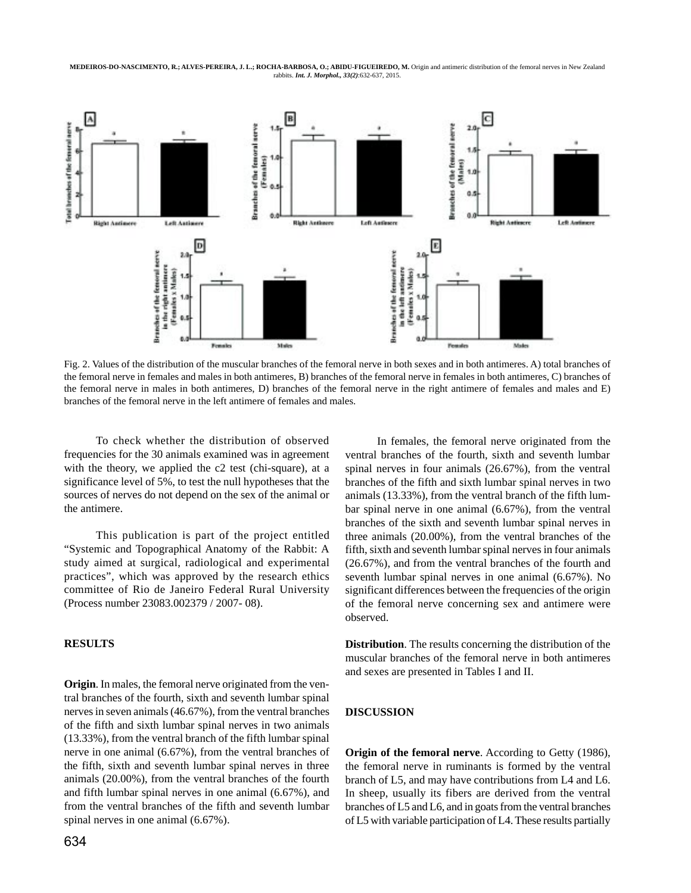**MEDEIROS-DO-NASCIMENTO, R.; ALVES-PEREIRA, J. L.; ROCHA-BARBOSA, O.; ABIDU-FIGUEIREDO, M.** Origin and antimeric distribution of the femoral nerves in New Zealand rabbits. *Int. J. Morphol., 33(2)*:632-637, 2015.



Fig. 2. Values of the distribution of the muscular branches of the femoral nerve in both sexes and in both antimeres. A) total branches of the femoral nerve in females and males in both antimeres, B) branches of the femoral nerve in females in both antimeres, C) branches of the femoral nerve in males in both antimeres, D) branches of the femoral nerve in the right antimere of females and males and E) branches of the femoral nerve in the left antimere of females and males.

To check whether the distribution of observed frequencies for the 30 animals examined was in agreement with the theory, we applied the c2 test (chi-square), at a significance level of 5%, to test the null hypotheses that the sources of nerves do not depend on the sex of the animal or the antimere.

This publication is part of the project entitled "Systemic and Topographical Anatomy of the Rabbit: A study aimed at surgical, radiological and experimental practices", which was approved by the research ethics committee of Rio de Janeiro Federal Rural University (Process number 23083.002379 / 2007- 08).

## **RESULTS**

**Origin**. In males, the femoral nerve originated from the ventral branches of the fourth, sixth and seventh lumbar spinal nerves in seven animals (46.67%), from the ventral branches of the fifth and sixth lumbar spinal nerves in two animals (13.33%), from the ventral branch of the fifth lumbar spinal nerve in one animal (6.67%), from the ventral branches of the fifth, sixth and seventh lumbar spinal nerves in three animals (20.00%), from the ventral branches of the fourth and fifth lumbar spinal nerves in one animal (6.67%), and from the ventral branches of the fifth and seventh lumbar spinal nerves in one animal (6.67%).

634

In females, the femoral nerve originated from the ventral branches of the fourth, sixth and seventh lumbar spinal nerves in four animals (26.67%), from the ventral branches of the fifth and sixth lumbar spinal nerves in two animals (13.33%), from the ventral branch of the fifth lumbar spinal nerve in one animal (6.67%), from the ventral branches of the sixth and seventh lumbar spinal nerves in three animals (20.00%), from the ventral branches of the fifth, sixth and seventh lumbar spinal nerves in four animals (26.67%), and from the ventral branches of the fourth and seventh lumbar spinal nerves in one animal (6.67%). No significant differences between the frequencies of the origin of the femoral nerve concerning sex and antimere were observed.

**Distribution**. The results concerning the distribution of the muscular branches of the femoral nerve in both antimeres and sexes are presented in Tables I and II.

## **DISCUSSION**

**Origin of the femoral nerve**. According to Getty (1986), the femoral nerve in ruminants is formed by the ventral branch of L5, and may have contributions from L4 and L6. In sheep, usually its fibers are derived from the ventral branches of L5 and L6, and in goats from the ventral branches of L5 with variable participation of L4. These results partially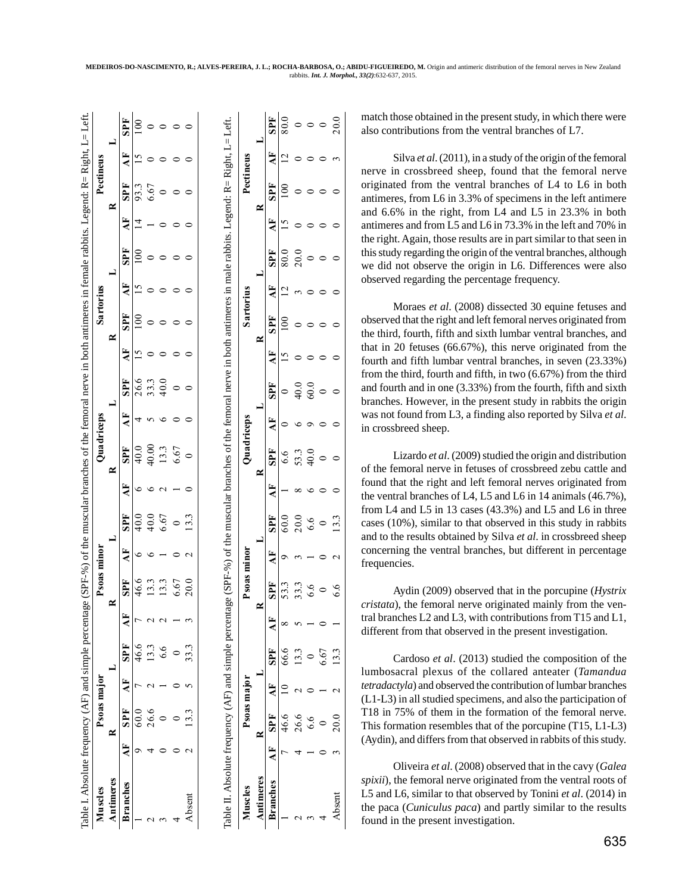| Muscles         |                |           | Psoas major |            |   |             | Psoas minor    |            |                | Quadriceps |                |            |   |              | <b>Sartorius</b> |              |              | Pectineus  |                     |            |
|-----------------|----------------|-----------|-------------|------------|---|-------------|----------------|------------|----------------|------------|----------------|------------|---|--------------|------------------|--------------|--------------|------------|---------------------|------------|
| Antimeres       |                | $\approx$ |             |            |   | $\approx$   |                |            |                | ≃          |                |            |   | ≃            |                  |              |              | $\approx$  |                     |            |
| <b>Branches</b> | Ę              | SPF       | ĄF          | <b>SPF</b> | E | SPF         | ĄF             | <b>SPF</b> | Ę              | <b>SPF</b> | ĄF             | <b>SPF</b> | Ę | <b>SPF</b>   | Ę                | <b>SPF</b>   | $\mathbf{A}$ | SPF        | Ę                   | SPF        |
|                 |                | 60.0      |             | 46.6       |   | 46.6        |                | 40.0       |                | 40.0       |                | 26.6       |   | $\mathbf{S}$ |                  | $\mathsf{S}$ |              | 93.3       | 51                  | $\approx$  |
|                 |                |           |             | 3.3        |   | 13.3        |                | 40.0       |                | 40.00      |                | 33.3       |   |              |                  |              |              | 6.67       |                     |            |
|                 |                |           |             | 6.6        |   | 13.3        |                | 6.67       |                | 13.3       |                | 40.0       |   |              |                  |              |              |            |                     |            |
|                 |                |           |             |            |   | 6.67        |                |            |                | 6.67       |                |            |   |              |                  |              |              |            |                     |            |
| Absent          |                | .<br>W    |             | 53.3       |   | 20.0        |                | 3.3        |                |            |                |            |   |              |                  |              |              |            |                     |            |
| Muscles         |                |           | Psoas major |            |   | Psoas minor |                |            |                | Quadriceps |                |            |   | Sartorius    |                  |              |              | Pectineus  |                     |            |
| Antimeres       |                | ≃         |             |            |   |             |                |            |                | ≃          |                |            |   | ≃            |                  |              |              | $\approx$  |                     |            |
| <b>Branches</b> | $\mathbf{A}$ F | SPF       | Ę           | <b>SPF</b> | E | <b>SPF</b>  | $\mathbf{A}$ E | <b>SPF</b> | $\mathbf{A}$ F | <b>SPF</b> | $\mathbf{A}$ F | <b>SPF</b> | Ę | SPF          | Ę                | <b>SPF</b>   | $\mathbf{A}$ | <b>SPF</b> | Ę                   | <b>SPF</b> |
|                 |                | 46.6      |             | 66.6       |   | 53.3        |                | 60.0       |                | 6.6        |                |            |   |              |                  | 80.0         |              | $\infty$   | $\mathbf{\epsilon}$ | 80.0       |
|                 |                | 26.6      |             | ن<br>س     |   | 33.3        |                | 20.0       |                | 53.3       |                | 40.0       |   |              |                  | 20.0         |              |            |                     |            |
|                 |                | 6.6       |             |            |   | 6.6         |                | 6.6        |                | 40.0       |                | 60.0       |   |              |                  |              |              |            |                     |            |
|                 |                |           |             | 6.67       |   |             |                |            |                |            |                |            |   |              |                  |              |              |            |                     |            |
| Absent          |                | 20.0      |             |            |   | 9.9         |                | 13.3       |                |            |                |            |   |              |                  |              |              |            |                     | 20.0       |

**MEDEIROS-DO-NASCIMENTO, R.; ALVES-PEREIRA, J. L.; ROCHA-BARBOSA, O.; ABIDU-FIGUEIREDO, M.** Origin and antimeric distribution of the femoral nerves in New Zealand rabbits. *Int. J. Morphol., 33(2)*:632-637, 2015.

match those obtained in the present study, in which there were also contributions from the ventral branches of L7.

Silva *et al*. (2011), in a study of the origin of the femoral nerve in crossbreed sheep, found that the femoral nerve originated from the ventral branches of L4 to L6 in both antimeres, from L6 in 3.3% of specimens in the left antimere and 6.6% in the right, from L4 and L5 in 23.3% in both antimeres and from L5 and L6 in 73.3% in the left and 70% in the right. Again, those results are in part similar to that seen in this study regarding the origin of the ventral branches, although we did not observe the origin in L6. Differences were also observed regarding the percentage frequency.

Moraes *et al*. (2008) dissected 30 equine fetuses and observed that the right and left femoral nerves originated from the third, fourth, fifth and sixth lumbar ventral branches, and that in 20 fetuses (66.67%), this nerve originated from the fourth and fifth lumbar ventral branches, in seven (23.33%) from the third, fourth and fifth, in two (6.67%) from the third and fourth and in one (3.33%) from the fourth, fifth and sixth branches. However, in the present study in rabbits the origin was not found from L3, a finding also reported by Silva *et al*. in crossbreed sheep.

Lizardo *et al*. (2009) studied the origin and distribution of the femoral nerve in fetuses of crossbreed zebu cattle and found that the right and left femoral nerves originated from the ventral branches of L4, L5 and L6 in 14 animals (46.7%), from L4 and L5 in 13 cases (43.3%) and L5 and L6 in three cases (10%), similar to that observed in this study in rabbits and to the results obtained by Silva *et al*. in crossbreed sheep concerning the ventral branches, but different in percentage frequencies.

Aydin (2009) observed that in the porcupine (*Hystrix cristata*), the femoral nerve originated mainly from the ventral branches L2 and L3, with contributions from T15 and L1, different from that observed in the present investigation.

Cardoso *et al*. (2013) studied the composition of the lumbosacral plexus of the collared anteater (*Tamandua tetradactyla*) and observed the contribution of lumbar branches (L1-L3) in all studied specimens, and also the participation of T18 in 75% of them in the formation of the femoral nerve. This formation resembles that of the porcupine (T15, L1-L3) (Aydin), and differs from that observed in rabbits of this study.

Oliveira *et al*. (2008) observed that in the cavy (*Galea spixii*), the femoral nerve originated from the ventral roots of L5 and L6, similar to that observed by Tonini *et al*. (2014) in the paca (*Cuniculus paca*) and partly similar to the results found in the present investigation.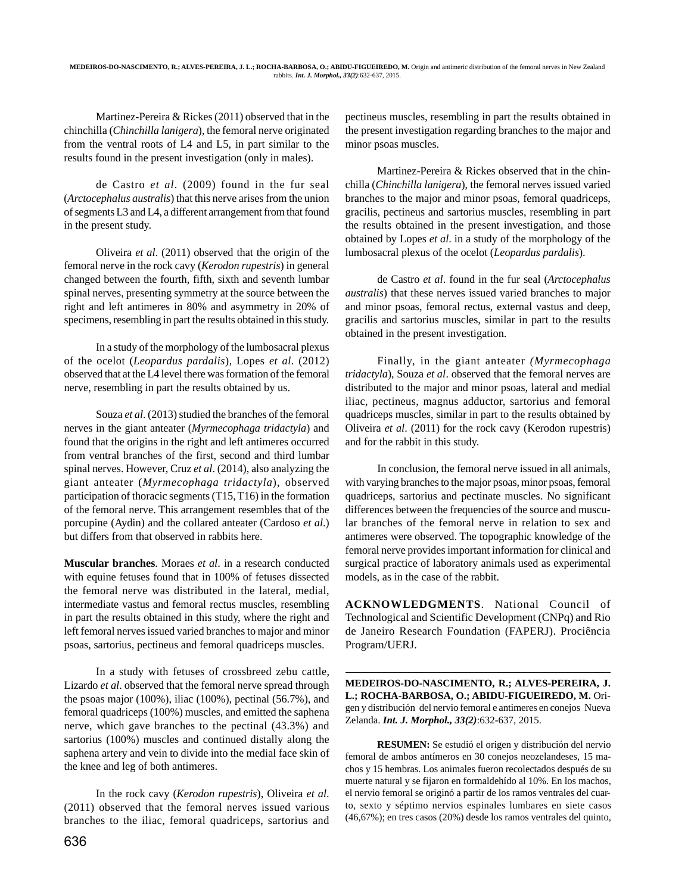Martinez-Pereira & Rickes (2011) observed that in the chinchilla (*Chinchilla lanigera*), the femoral nerve originated from the ventral roots of L4 and L5, in part similar to the results found in the present investigation (only in males).

de Castro *et al*. (2009) found in the fur seal (*Arctocephalus australis*) that this nerve arises from the union of segments L3 and L4, a different arrangement from that found in the present study.

Oliveira *et al*. (2011) observed that the origin of the femoral nerve in the rock cavy (*Kerodon rupestris*) in general changed between the fourth, fifth, sixth and seventh lumbar spinal nerves, presenting symmetry at the source between the right and left antimeres in 80% and asymmetry in 20% of specimens, resembling in part the results obtained in this study.

In a study of the morphology of the lumbosacral plexus of the ocelot (*Leopardus pardalis*), Lopes *et al*. (2012) observed that at the L4 level there was formation of the femoral nerve, resembling in part the results obtained by us.

Souza *et al*. (2013) studied the branches of the femoral nerves in the giant anteater (*Myrmecophaga tridactyla*) and found that the origins in the right and left antimeres occurred from ventral branches of the first, second and third lumbar spinal nerves. However, Cruz *et al*. (2014), also analyzing the giant anteater (*Myrmecophaga tridactyla*), observed participation of thoracic segments (T15, T16) in the formation of the femoral nerve. This arrangement resembles that of the porcupine (Aydin) and the collared anteater (Cardoso *et al*.) but differs from that observed in rabbits here.

**Muscular branches**. Moraes *et al*. in a research conducted with equine fetuses found that in 100% of fetuses dissected the femoral nerve was distributed in the lateral, medial, intermediate vastus and femoral rectus muscles, resembling in part the results obtained in this study, where the right and left femoral nerves issued varied branches to major and minor psoas, sartorius, pectineus and femoral quadriceps muscles.

In a study with fetuses of crossbreed zebu cattle, Lizardo *et al*. observed that the femoral nerve spread through the psoas major  $(100\%)$ , iliac  $(100\%)$ , pectinal  $(56.7\%)$ , and femoral quadriceps (100%) muscles, and emitted the saphena nerve, which gave branches to the pectinal (43.3%) and sartorius (100%) muscles and continued distally along the saphena artery and vein to divide into the medial face skin of the knee and leg of both antimeres.

In the rock cavy (*Kerodon rupestris*), Oliveira *et al*. (2011) observed that the femoral nerves issued various branches to the iliac, femoral quadriceps, sartorius and

pectineus muscles, resembling in part the results obtained in the present investigation regarding branches to the major and minor psoas muscles.

Martinez-Pereira & Rickes observed that in the chinchilla (*Chinchilla lanigera*), the femoral nerves issued varied branches to the major and minor psoas, femoral quadriceps, gracilis, pectineus and sartorius muscles, resembling in part the results obtained in the present investigation, and those obtained by Lopes *et al*. in a study of the morphology of the lumbosacral plexus of the ocelot (*Leopardus pardalis*).

de Castro *et al*. found in the fur seal (*Arctocephalus australis*) that these nerves issued varied branches to major and minor psoas, femoral rectus, external vastus and deep, gracilis and sartorius muscles, similar in part to the results obtained in the present investigation.

Finally, in the giant anteater *(Myrmecophaga tridactyla*), Souza *et al*. observed that the femoral nerves are distributed to the major and minor psoas, lateral and medial iliac, pectineus, magnus adductor, sartorius and femoral quadriceps muscles, similar in part to the results obtained by Oliveira *et al*. (2011) for the rock cavy (Kerodon rupestris) and for the rabbit in this study.

In conclusion, the femoral nerve issued in all animals, with varying branches to the major psoas, minor psoas, femoral quadriceps, sartorius and pectinate muscles. No significant differences between the frequencies of the source and muscular branches of the femoral nerve in relation to sex and antimeres were observed. The topographic knowledge of the femoral nerve provides important information for clinical and surgical practice of laboratory animals used as experimental models, as in the case of the rabbit.

**ACKNOWLEDGMENTS**. National Council of Technological and Scientific Development (CNPq) and Rio de Janeiro Research Foundation (FAPERJ). Prociência Program/UERJ.

**MEDEIROS-DO-NASCIMENTO, R.; ALVES-PEREIRA, J. L.; ROCHA-BARBOSA, O.; ABIDU-FIGUEIREDO, M.** Origen y distribución del nervio femoral e antimeres en conejos Nueva Zelanda. *Int. J. Morphol., 33(2)*:632-637, 2015.

**RESUMEN:** Se estudió el origen y distribución del nervio femoral de ambos antímeros en 30 conejos neozelandeses, 15 machos y 15 hembras. Los animales fueron recolectados después de su muerte natural y se fijaron en formaldehído al 10%. En los machos, el nervio femoral se originó a partir de los ramos ventrales del cuarto, sexto y séptimo nervios espinales lumbares en siete casos (46,67%); en tres casos (20%) desde los ramos ventrales del quinto,